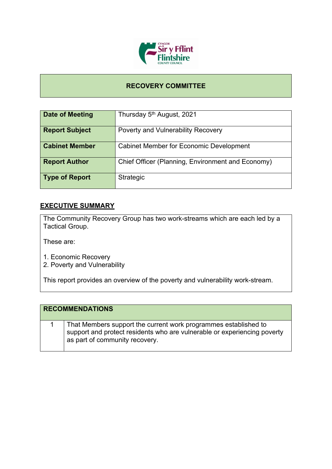

## **RECOVERY COMMITTEE**

| Date of Meeting       | Thursday 5 <sup>th</sup> August, 2021             |
|-----------------------|---------------------------------------------------|
| <b>Report Subject</b> | <b>Poverty and Vulnerability Recovery</b>         |
| <b>Cabinet Member</b> | <b>Cabinet Member for Economic Development</b>    |
| <b>Report Author</b>  | Chief Officer (Planning, Environment and Economy) |
| <b>Type of Report</b> | Strategic                                         |

## **EXECUTIVE SUMMARY**

The Community Recovery Group has two work-streams which are each led by a Tactical Group.

These are:

- 1. Economic Recovery
- 2. Poverty and Vulnerability

This report provides an overview of the poverty and vulnerability work-stream.

| <b>RECOMMENDATIONS</b>                                                                                                                                                        |
|-------------------------------------------------------------------------------------------------------------------------------------------------------------------------------|
| That Members support the current work programmes established to<br>support and protect residents who are vulnerable or experiencing poverty<br>as part of community recovery. |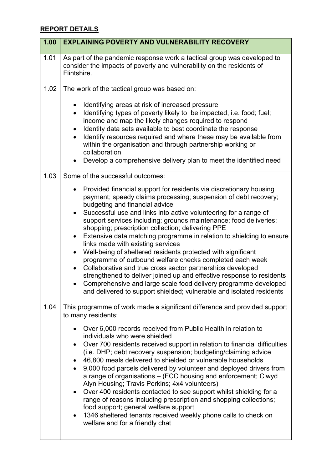## **REPORT DETAILS**

| 1.00 | <b>EXPLAINING POVERTY AND VULNERABILITY RECOVERY</b>                                                                                                                                                                                                                                                                                                                                                                                                                                                                                                                                                                                                                                                                                                                                                                                                                                                                                                                                     |
|------|------------------------------------------------------------------------------------------------------------------------------------------------------------------------------------------------------------------------------------------------------------------------------------------------------------------------------------------------------------------------------------------------------------------------------------------------------------------------------------------------------------------------------------------------------------------------------------------------------------------------------------------------------------------------------------------------------------------------------------------------------------------------------------------------------------------------------------------------------------------------------------------------------------------------------------------------------------------------------------------|
| 1.01 | As part of the pandemic response work a tactical group was developed to<br>consider the impacts of poverty and vulnerability on the residents of<br>Flintshire.                                                                                                                                                                                                                                                                                                                                                                                                                                                                                                                                                                                                                                                                                                                                                                                                                          |
| 1.02 | The work of the tactical group was based on:<br>Identifying areas at risk of increased pressure<br>$\bullet$<br>Identifying types of poverty likely to be impacted, i.e. food; fuel;<br>$\bullet$<br>income and map the likely changes required to respond<br>Identity data sets available to best coordinate the response<br>$\bullet$<br>Identify resources required and where these may be available from<br>$\bullet$<br>within the organisation and through partnership working or<br>collaboration<br>Develop a comprehensive delivery plan to meet the identified need                                                                                                                                                                                                                                                                                                                                                                                                            |
| 1.03 | Some of the successful outcomes:<br>Provided financial support for residents via discretionary housing<br>$\bullet$<br>payment; speedy claims processing; suspension of debt recovery;<br>budgeting and financial advice<br>Successful use and links into active volunteering for a range of<br>$\bullet$<br>support services including; grounds maintenance; food deliveries;<br>shopping; prescription collection; delivering PPE<br>Extensive data matching programme in relation to shielding to ensure<br>$\bullet$<br>links made with existing services<br>Well-being of sheltered residents protected with significant<br>$\bullet$<br>programme of outbound welfare checks completed each week<br>Collaborative and true cross sector partnerships developed<br>strengthened to deliver joined up and effective response to residents<br>Comprehensive and large scale food delivery programme developed<br>and delivered to support shielded; vulnerable and isolated residents |
| 1.04 | This programme of work made a significant difference and provided support<br>to many residents:<br>Over 6,000 records received from Public Health in relation to<br>$\bullet$<br>individuals who were shielded<br>Over 700 residents received support in relation to financial difficulties<br>$\bullet$<br>(i.e. DHP; debt recovery suspension; budgeting/claiming advice<br>46,800 meals delivered to shielded or vulnerable households<br>$\bullet$<br>9,000 food parcels delivered by volunteer and deployed drivers from<br>$\bullet$<br>a range of organisations - (FCC housing and enforcement; Clwyd<br>Alyn Housing; Travis Perkins; 4x4 volunteers)<br>Over 400 residents contacted to see support whilst shielding for a<br>$\bullet$<br>range of reasons including prescription and shopping collections;<br>food support; general welfare support<br>1346 sheltered tenants received weekly phone calls to check on<br>$\bullet$<br>welfare and for a friendly chat         |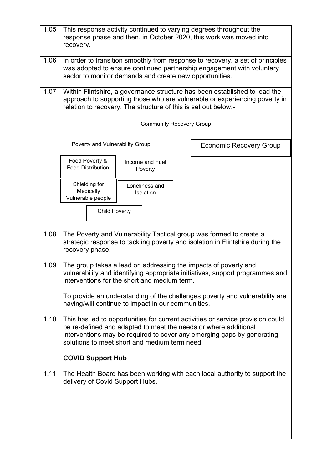| 1.05 | This response activity continued to varying degrees throughout the<br>response phase and then, in October 2020, this work was moved into<br>recovery.                                                                                                                         |  |
|------|-------------------------------------------------------------------------------------------------------------------------------------------------------------------------------------------------------------------------------------------------------------------------------|--|
| 1.06 | In order to transition smoothly from response to recovery, a set of principles<br>was adopted to ensure continued partnership engagement with voluntary<br>sector to monitor demands and create new opportunities.                                                            |  |
| 1.07 | Within Flintshire, a governance structure has been established to lead the<br>approach to supporting those who are vulnerable or experiencing poverty in<br>relation to recovery. The structure of this is set out below:-                                                    |  |
|      | <b>Community Recovery Group</b>                                                                                                                                                                                                                                               |  |
|      | Poverty and Vulnerability Group<br><b>Economic Recovery Group</b>                                                                                                                                                                                                             |  |
|      | Food Poverty &<br>Income and Fuel<br><b>Food Distribution</b><br>Poverty                                                                                                                                                                                                      |  |
|      | Shielding for<br>Loneliness and<br>Medically<br>Isolation<br>Vulnerable people                                                                                                                                                                                                |  |
|      | <b>Child Poverty</b>                                                                                                                                                                                                                                                          |  |
| 1.08 | The Poverty and Vulnerability Tactical group was formed to create a<br>strategic response to tackling poverty and isolation in Flintshire during the<br>recovery phase.                                                                                                       |  |
| 1.09 | The group takes a lead on addressing the impacts of poverty and<br>vulnerability and identifying appropriate initiatives, support programmes and<br>interventions for the short and medium term.                                                                              |  |
|      | To provide an understanding of the challenges poverty and vulnerability are<br>having/will continue to impact in our communities.                                                                                                                                             |  |
| 1.10 | This has led to opportunities for current activities or service provision could<br>be re-defined and adapted to meet the needs or where additional<br>interventions may be required to cover any emerging gaps by generating<br>solutions to meet short and medium term need. |  |
|      | <b>COVID Support Hub</b>                                                                                                                                                                                                                                                      |  |
| 1.11 | The Health Board has been working with each local authority to support the<br>delivery of Covid Support Hubs.                                                                                                                                                                 |  |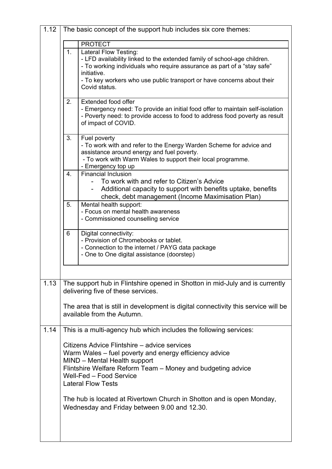| 1.12 |    | The basic concept of the support hub includes six core themes:                                                                                                                                                                                                                         |
|------|----|----------------------------------------------------------------------------------------------------------------------------------------------------------------------------------------------------------------------------------------------------------------------------------------|
|      |    | <b>PROTECT</b>                                                                                                                                                                                                                                                                         |
|      | 1. | Lateral Flow Testing:<br>- LFD availability linked to the extended family of school-age children.<br>- To working individuals who require assurance as part of a "stay safe"<br>initiative.<br>- To key workers who use public transport or have concerns about their<br>Covid status. |
|      | 2. | Extended food offer<br>- Emergency need: To provide an initial food offer to maintain self-isolation<br>- Poverty need: to provide access to food to address food poverty as result<br>of impact of COVID.                                                                             |
|      | 3. | Fuel poverty<br>- To work with and refer to the Energy Warden Scheme for advice and<br>assistance around energy and fuel poverty.<br>- To work with Warm Wales to support their local programme.<br>- Emergency top up                                                                 |
|      | 4. | <b>Financial Inclusion</b><br>To work with and refer to Citizen's Advice<br>Additional capacity to support with benefits uptake, benefits<br>check, debt management (Income Maximisation Plan)                                                                                         |
|      | 5. | Mental health support:<br>- Focus on mental health awareness<br>- Commissioned counselling service                                                                                                                                                                                     |
|      | 6  | Digital connectivity:<br>- Provision of Chromebooks or tablet.<br>- Connection to the internet / PAYG data package<br>- One to One digital assistance (doorstep)                                                                                                                       |
| 1.13 |    | The support hub in Flintshire opened in Shotton in mid-July and is currently<br>delivering five of these services.                                                                                                                                                                     |
|      |    | The area that is still in development is digital connectivity this service will be<br>available from the Autumn.                                                                                                                                                                       |
| 1.14 |    | This is a multi-agency hub which includes the following services:                                                                                                                                                                                                                      |
|      |    | Citizens Advice Flintshire - advice services<br>Warm Wales – fuel poverty and energy efficiency advice<br>MIND - Mental Health support<br>Flintshire Welfare Reform Team - Money and budgeting advice<br>Well-Fed - Food Service<br><b>Lateral Flow Tests</b>                          |
|      |    | The hub is located at Rivertown Church in Shotton and is open Monday,<br>Wednesday and Friday between 9.00 and 12.30.                                                                                                                                                                  |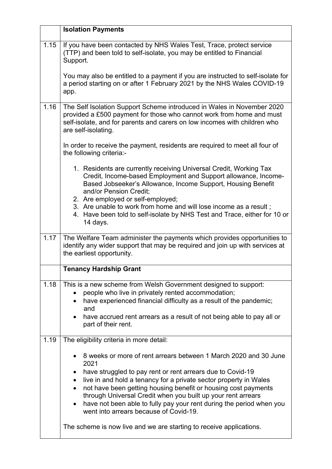|      | <b>Isolation Payments</b>                                                                                                                                                                                                                                                                                                                                                                                                                                                                                                                           |
|------|-----------------------------------------------------------------------------------------------------------------------------------------------------------------------------------------------------------------------------------------------------------------------------------------------------------------------------------------------------------------------------------------------------------------------------------------------------------------------------------------------------------------------------------------------------|
| 1.15 | If you have been contacted by NHS Wales Test, Trace, protect service<br>(TTP) and been told to self-isolate, you may be entitled to Financial<br>Support.                                                                                                                                                                                                                                                                                                                                                                                           |
|      | You may also be entitled to a payment if you are instructed to self-isolate for<br>a period starting on or after 1 February 2021 by the NHS Wales COVID-19<br>app.                                                                                                                                                                                                                                                                                                                                                                                  |
| 1.16 | The Self Isolation Support Scheme introduced in Wales in November 2020<br>provided a £500 payment for those who cannot work from home and must<br>self-isolate, and for parents and carers on low incomes with children who<br>are self-isolating.                                                                                                                                                                                                                                                                                                  |
|      | In order to receive the payment, residents are required to meet all four of<br>the following criteria:-                                                                                                                                                                                                                                                                                                                                                                                                                                             |
|      | 1. Residents are currently receiving Universal Credit, Working Tax<br>Credit, Income-based Employment and Support allowance, Income-<br>Based Jobseeker's Allowance, Income Support, Housing Benefit<br>and/or Pension Credit;<br>2. Are employed or self-employed;                                                                                                                                                                                                                                                                                 |
|      | 3. Are unable to work from home and will lose income as a result;<br>4. Have been told to self-isolate by NHS Test and Trace, either for 10 or<br>14 days.                                                                                                                                                                                                                                                                                                                                                                                          |
| 1.17 | The Welfare Team administer the payments which provides opportunities to<br>identify any wider support that may be required and join up with services at<br>the earliest opportunity.                                                                                                                                                                                                                                                                                                                                                               |
|      | <b>Tenancy Hardship Grant</b>                                                                                                                                                                                                                                                                                                                                                                                                                                                                                                                       |
| 1.18 | This is a new scheme from Welsh Government designed to support:<br>people who live in privately rented accommodation;<br>have experienced financial difficulty as a result of the pandemic;<br>$\bullet$<br>and<br>have accrued rent arrears as a result of not being able to pay all or<br>part of their rent.                                                                                                                                                                                                                                     |
| 1.19 | The eligibility criteria in more detail:                                                                                                                                                                                                                                                                                                                                                                                                                                                                                                            |
|      | 8 weeks or more of rent arrears between 1 March 2020 and 30 June<br>2021<br>have struggled to pay rent or rent arrears due to Covid-19<br>$\bullet$<br>live in and hold a tenancy for a private sector property in Wales<br>not have been getting housing benefit or housing cost payments<br>through Universal Credit when you built up your rent arrears<br>have not been able to fully pay your rent during the period when you<br>went into arrears because of Covid-19.<br>The scheme is now live and we are starting to receive applications. |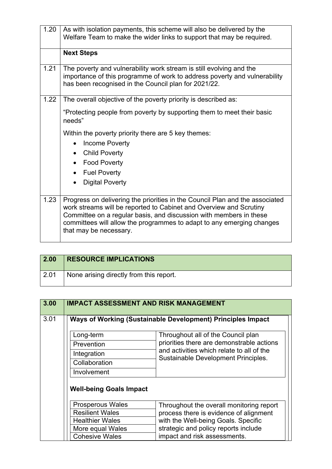| 1.20 | As with isolation payments, this scheme will also be delivered by the<br>Welfare Team to make the wider links to support that may be required.                                                                                                                                                                              |
|------|-----------------------------------------------------------------------------------------------------------------------------------------------------------------------------------------------------------------------------------------------------------------------------------------------------------------------------|
|      | <b>Next Steps</b>                                                                                                                                                                                                                                                                                                           |
| 1.21 | The poverty and vulnerability work stream is still evolving and the<br>importance of this programme of work to address poverty and vulnerability<br>has been recognised in the Council plan for 2021/22.                                                                                                                    |
| 1.22 | The overall objective of the poverty priority is described as:                                                                                                                                                                                                                                                              |
|      | "Protecting people from poverty by supporting them to meet their basic<br>needs"                                                                                                                                                                                                                                            |
|      | Within the poverty priority there are 5 key themes:                                                                                                                                                                                                                                                                         |
|      | <b>Income Poverty</b><br>$\bullet$                                                                                                                                                                                                                                                                                          |
|      | <b>Child Poverty</b><br>$\bullet$                                                                                                                                                                                                                                                                                           |
|      | <b>Food Poverty</b><br>$\bullet$                                                                                                                                                                                                                                                                                            |
|      | <b>Fuel Poverty</b><br>$\bullet$                                                                                                                                                                                                                                                                                            |
|      | <b>Digital Poverty</b><br>$\bullet$                                                                                                                                                                                                                                                                                         |
| 1.23 | Progress on delivering the priorities in the Council Plan and the associated<br>work streams will be reported to Cabinet and Overview and Scrutiny<br>Committee on a regular basis, and discussion with members in these<br>committees will allow the programmes to adapt to any emerging changes<br>that may be necessary. |

| $\vert$ 2.00 | <b>RESOURCE IMPLICATIONS</b>            |
|--------------|-----------------------------------------|
| $\vert$ 2.01 | None arising directly from this report. |

| 3.00 |                                | <b>IMPACT ASSESSMENT AND RISK MANAGEMENT</b>                                     |
|------|--------------------------------|----------------------------------------------------------------------------------|
| 3.01 |                                | Ways of Working (Sustainable Development) Principles Impact                      |
|      | Long-term                      | Throughout all of the Council plan                                               |
|      | Prevention                     | priorities there are demonstrable actions                                        |
|      | Integration                    | and activities which relate to all of the<br>Sustainable Development Principles. |
|      | Collaboration                  |                                                                                  |
|      | Involvement                    |                                                                                  |
|      | <b>Well-being Goals Impact</b> |                                                                                  |
|      | <b>Prosperous Wales</b>        | Throughout the overall monitoring report                                         |
|      | <b>Resilient Wales</b>         | process there is evidence of alignment                                           |
|      | <b>Healthier Wales</b>         | with the Well-being Goals. Specific                                              |
|      | More equal Wales               | strategic and policy reports include                                             |
|      | <b>Cohesive Wales</b>          | impact and risk assessments.                                                     |